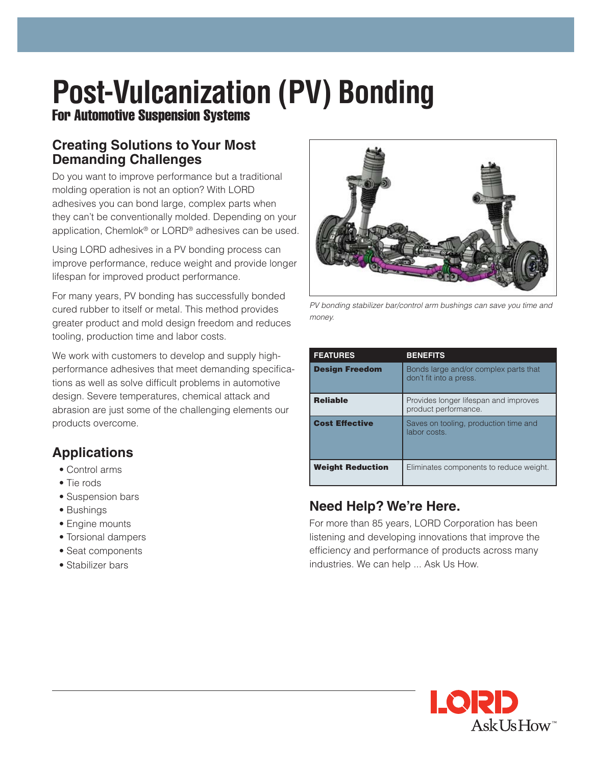# **Post-Vulcanization (PV) Bonding**

For Automotive Suspension Systems

### **Creating Solutions to Your Most Demanding Challenges**

Do you want to improve performance but a traditional molding operation is not an option? With LORD adhesives you can bond large, complex parts when they can't be conventionally molded. Depending on your application, Chemlok® or LORD® adhesives can be used.

Using LORD adhesives in a PV bonding process can improve performance, reduce weight and provide longer lifespan for improved product performance.

For many years, PV bonding has successfully bonded cured rubber to itself or metal. This method provides greater product and mold design freedom and reduces tooling, production time and labor costs.

We work with customers to develop and supply highperformance adhesives that meet demanding specifications as well as solve difficult problems in automotive design. Severe temperatures, chemical attack and abrasion are just some of the challenging elements our products overcome.

## **Applications**

- Control arms
- Tie rods
- Suspension bars
- Bushings
- Engine mounts
- Torsional dampers
- Seat components
- Stabilizer bars



*PV bonding stabilizer bar/control arm bushings can save you time and money.*

| <b>FEATURES</b>         | <b>BENEFITS</b>                                                  |
|-------------------------|------------------------------------------------------------------|
| <b>Design Freedom</b>   | Bonds large and/or complex parts that<br>don't fit into a press. |
| <b>Reliable</b>         | Provides longer lifespan and improves<br>product performance.    |
| <b>Cost Effective</b>   | Saves on tooling, production time and<br>labor costs.            |
| <b>Weight Reduction</b> | Eliminates components to reduce weight.                          |

## **Need Help? We're Here.**

For more than 85 years, LORD Corporation has been listening and developing innovations that improve the efficiency and performance of products across many industries. We can help ... Ask Us How.